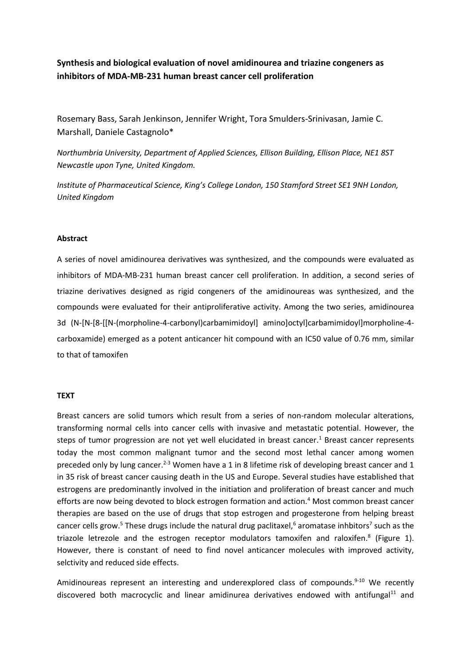# **Synthesis and biological evaluation of novel amidinourea and triazine congeners as inhibitors of MDA-MB-231 human breast cancer cell proliferation**

Rosemary Bass, Sarah Jenkinson, Jennifer Wright, Tora Smulders-Srinivasan, Jamie C. Marshall, Daniele Castagnolo\*

*Northumbria University, Department of Applied Sciences, Ellison Building, Ellison Place, NE1 8ST Newcastle upon Tyne, United Kingdom.* 

*Institute of Pharmaceutical Science, King's College London, 150 Stamford Street SE1 9NH London, United Kingdom* 

### **Abstract**

A series of novel amidinourea derivatives was synthesized, and the compounds were evaluated as inhibitors of MDA-MB-231 human breast cancer cell proliferation. In addition, a second series of triazine derivatives designed as rigid congeners of the amidinoureas was synthesized, and the compounds were evaluated for their antiproliferative activity. Among the two series, amidinourea 3d (N-[N-[8-[[N-(morpholine-4-carbonyl)carbamimidoyl] amino]octyl]carbamimidoyl]morpholine-4 carboxamide) emerged as a potent anticancer hit compound with an IC50 value of 0.76 mm, similar to that of tamoxifen

## **TEXT**

Breast cancers are solid tumors which result from a series of non-random molecular alterations, transforming normal cells into cancer cells with invasive and metastatic potential. However, the steps of tumor progression are not yet well elucidated in breast cancer.<sup>1</sup> Breast cancer represents today the most common malignant tumor and the second most lethal cancer among women preceded only by lung cancer.<sup>2-3</sup> Women have a 1 in 8 lifetime risk of developing breast cancer and 1 in 35 risk of breast cancer causing death in the US and Europe. Several studies have established that estrogens are predominantly involved in the initiation and proliferation of breast cancer and much efforts are now being devoted to block estrogen formation and action.<sup>4</sup> Most common breast cancer therapies are based on the use of drugs that stop estrogen and progesterone from helping breast cancer cells grow.<sup>5</sup> These drugs include the natural drug paclitaxel,<sup>6</sup> aromatase inhbitors<sup>7</sup> such as the triazole letrezole and the estrogen receptor modulators tamoxifen and raloxifen.<sup>8</sup> (Figure 1). However, there is constant of need to find novel anticancer molecules with improved activity, selctivity and reduced side effects.

Amidinoureas represent an interesting and underexplored class of compounds.<sup>9-10</sup> We recently discovered both macrocyclic and linear amidinurea derivatives endowed with antifungal $11$  and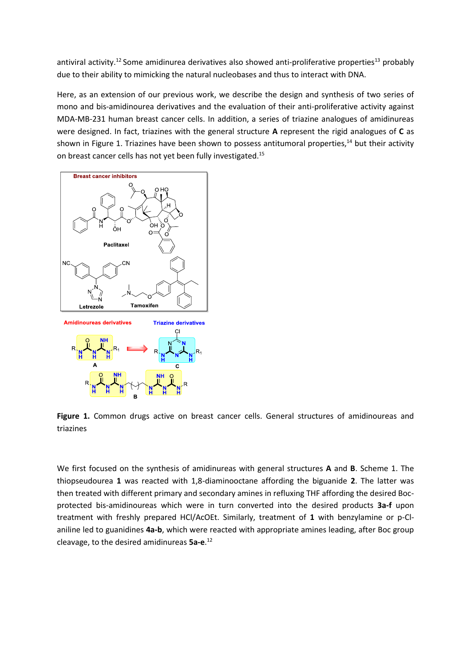antiviral activity.<sup>12</sup> Some amidinurea derivatives also showed anti-proliferative properties<sup>13</sup> probably due to their ability to mimicking the natural nucleobases and thus to interact with DNA.

Here, as an extension of our previous work, we describe the design and synthesis of two series of mono and bis-amidinourea derivatives and the evaluation of their anti-proliferative activity against MDA-MB-231 human breast cancer cells. In addition, a series of triazine analogues of amidinureas were designed. In fact, triazines with the general structure **A** represent the rigid analogues of **C** as shown in Figure 1. Triazines have been shown to possess antitumoral properties,<sup>14</sup> but their activity on breast cancer cells has not yet been fully investigated.<sup>15</sup>



Figure 1. Common drugs active on breast cancer cells. General structures of amidinoureas and triazines

We first focused on the synthesis of amidinureas with general structures **A** and **B**. Scheme 1. The thiopseudourea **1** was reacted with 1,8-diaminooctane affording the biguanide **2**. The latter was then treated with different primary and secondary amines in refluxing THF affording the desired Bocprotected bis-amidinoureas which were in turn converted into the desired products **3a-f** upon treatment with freshly prepared HCl/AcOEt. Similarly, treatment of **1** with benzylamine or p-Claniline led to guanidines **4a-b**, which were reacted with appropriate amines leading, after Boc group cleavage, to the desired amidinureas **5a-e**. 12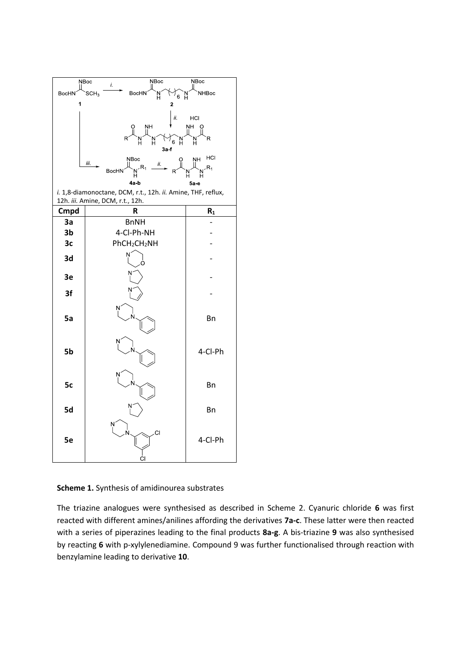

**Scheme 1.** Synthesis of amidinourea substrates

The triazine analogues were synthesised as described in Scheme 2. Cyanuric chloride **6** was first reacted with different amines/anilines affording the derivatives **7a-c**. These latter were then reacted with a series of piperazines leading to the final products **8a-g**. A bis-triazine **9** was also synthesised by reacting **6** with p-xylylenediamine. Compound 9 was further functionalised through reaction with benzylamine leading to derivative **10**.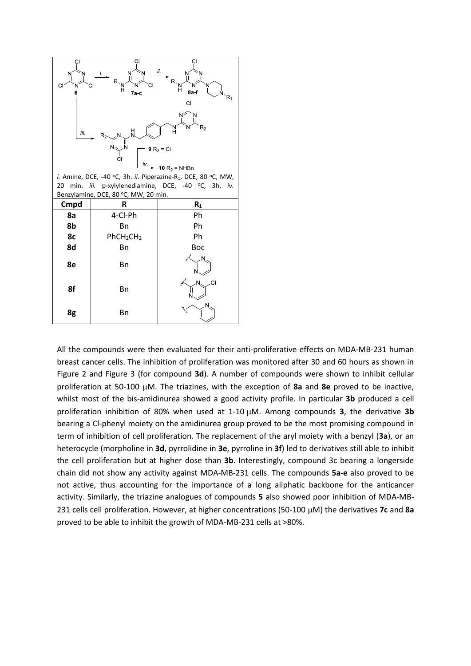

*i.* Amine, DCE, -40 °C, 3h. *ii.* Piperazine-R<sub>1</sub>, DCE, 80 °C, MW, 20 min. *iii.* p-xylylenediamine, DCE, -40 <sup>o</sup>C, 3h. *iv.* Benzylamine, DCE, 80 °C, MW, 20 min.

| Cmpd | R                                 | R <sub>1</sub>         |  |  |  |  |
|------|-----------------------------------|------------------------|--|--|--|--|
| 8a   | 4-Cl-Ph                           | Ph                     |  |  |  |  |
| 8b   | Bn                                | Ph                     |  |  |  |  |
| 8c   | PhCH <sub>2</sub> CH <sub>2</sub> | Ph                     |  |  |  |  |
| 8d   | Bn                                | Boc                    |  |  |  |  |
| 8e   | Bn                                | ىمى<br>N               |  |  |  |  |
| 8f   | Bn                                | $\mathfrak{z}^2$<br>CI |  |  |  |  |
| 8g   | Bn                                | N                      |  |  |  |  |

All the compounds were then evaluated for their anti-proliferative effects on MDA-MB-231 human breast cancer cells. The inhibition of proliferation was monitored after 30 and 60 hours as shown in Figure 2 and Figure 3 (for compound **3d**). A number of compounds were shown to inhibit cellular proliferation at 50-100 µM. The triazines, with the exception of 8a and 8e proved to be inactive, whilst most of the bis-amidinurea showed a good activity profile. In particular **3b** produced a cell proliferation inhibition of 80% when used at 1-10  $\mu$ M. Among compounds 3, the derivative 3b bearing a Cl-phenyl moiety on the amidinurea group proved to be the most promising compound in term of inhibition of cell proliferation. The replacement of the aryl moiety with a benzyl (**3a**), or an heterocycle (morpholine in **3d**, pyrrolidine in **3e**, pyrroline in **3f**) led to derivatives still able to inhibit the cell proliferation but at higher dose than **3b**. Interestingly, compound 3c bearing a longerside chain did not show any activity against MDA-MB-231 cells. The compounds **5a-e** also proved to be not active, thus accounting for the importance of a long aliphatic backbone for the anticancer activity. Similarly, the triazine analogues of compounds **5** also showed poor inhibition of MDA-MB-231 cells cell proliferation. However, at higher concentrations (50-100  $\mu$ M) the derivatives **7c** and **8a** proved to be able to inhibit the growth of MDA-MB-231 cells at >80%.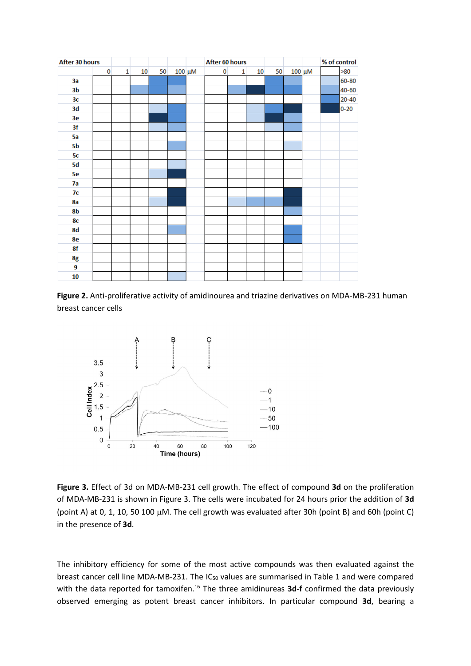

**Figure 2.** Anti-proliferative activity of amidinourea and triazine derivatives on MDA-MB-231 human breast cancer cells



**Figure 3.** Effect of 3d on MDA-MB-231 cell growth. The effect of compound **3d** on the proliferation of MDA-MB-231 is shown in Figure 3. The cells were incubated for 24 hours prior the addition of **3d** (point A) at 0, 1, 10, 50 100  $\mu$ M. The cell growth was evaluated after 30h (point B) and 60h (point C) in the presence of **3d**.

The inhibitory efficiency for some of the most active compounds was then evaluated against the breast cancer cell line MDA-MB-231. The  $IC_{50}$  values are summarised in Table 1 and were compared with the data reported for tamoxifen.<sup>16</sup> The three amidinureas 3d-f confirmed the data previously observed emerging as potent breast cancer inhibitors. In particular compound **3d**, bearing a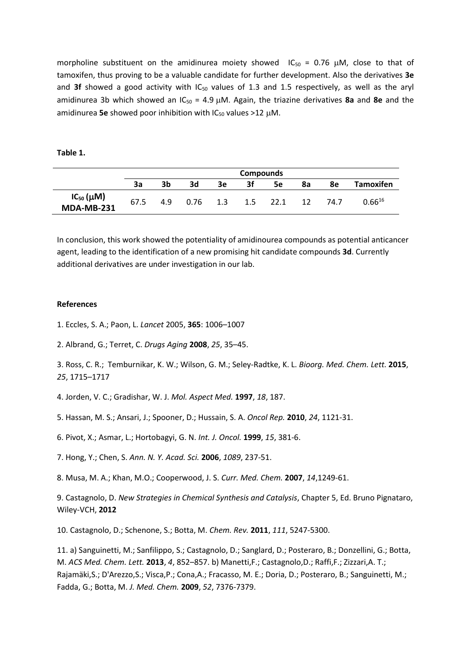morpholine substituent on the amidinurea moiety showed  $IC_{50} = 0.76 \mu M$ , close to that of tamoxifen, thus proving to be a valuable candidate for further development. Also the derivatives **3e** and **3f** showed a good activity with  $IC_{50}$  values of 1.3 and 1.5 respectively, as well as the aryl amidinurea 3b which showed an IC<sub>50</sub> = 4.9 µM. Again, the triazine derivatives 8a and 8e and the amidinurea **5e** showed poor inhibition with  $IC_{50}$  values  $>12$  µM.

**Table 1.**

|                                       | <b>Compounds</b> |     |      |     |     |      |    |      |                  |
|---------------------------------------|------------------|-----|------|-----|-----|------|----|------|------------------|
|                                       | За               | 3b  | 3d   | 3e  | Зf  | 5e   | 8a | 8e   | <b>Tamoxifen</b> |
| $IC_{50}(\mu M)$<br><b>MDA-MB-231</b> | 67.5             | 4.9 | 0.76 | 1.3 | 1.5 | 22.1 | 12 | 74.7 | $0.66^{16}$      |

In conclusion, this work showed the potentiality of amidinourea compounds as potential anticancer agent, leading to the identification of a new promising hit candidate compounds **3d**. Currently additional derivatives are under investigation in our lab.

#### **References**

- 1. Eccles, S. A.; Paon, L. *Lancet* 2005, **365**: 1006–1007
- 2. Albrand, G.; Terret, C. *Drugs Aging* **2008**, *25*, 35–45.

3. Ross, C. R.; Temburnikar, K. W.; Wilson, G. M.; Seley-Radtke, K. L. *Bioorg. Med. Chem. Lett.* **2015**, *25*, 1715–1717

- 4. Jorden, V. C.; Gradishar, W. J. *Mol. Aspect Med.* **1997**, *18*, 187.
- 5. Hassan, M. S.; Ansari, J.; Spooner, D.; Hussain, S. A. *Oncol Rep.* **2010**, *24*, 1121-31.
- 6. Pivot, X.; Asmar, L.; Hortobagyi, G. N. *Int. J. Oncol.* **1999**, *15*, 381-6.
- 7. Hong, Y.; Chen, S. *Ann. N. Y. Acad. Sci.* **2006**, *1089*, 237-51.
- 8. Musa, M. A.; Khan, M.O.; Cooperwood, J. S. *Curr. Med. Chem.* **2007**, *14*,1249-61.

9. Castagnolo, D. *New Strategies in Chemical Synthesis and Catalysis*, Chapter 5, Ed. Bruno Pignataro, Wiley-VCH, **2012** 

10. Castagnolo, D.; Schenone, S.; Botta, M. *Chem. Rev.* **2011**, *111*, 5247-5300.

11. a) Sanguinetti, M.; Sanfilippo, S.; Castagnolo, D.; Sanglard, D.; Posteraro, B.; Donzellini, G.; Botta, M. *ACS Med. Chem. Lett.* **2013**, *4*, 852–857. b) Manetti,F.; Castagnolo,D.; Raffi,F.; Zizzari,A. T.; Rajamäki,S.; D'Arezzo,S.; Visca,P.; Cona,A.; Fracasso, M. E.; Doria, D.; Posteraro, B.; Sanguinetti, M.; Fadda, G.; Botta, M. *J. Med. Chem.* **2009**, *52*, 7376-7379.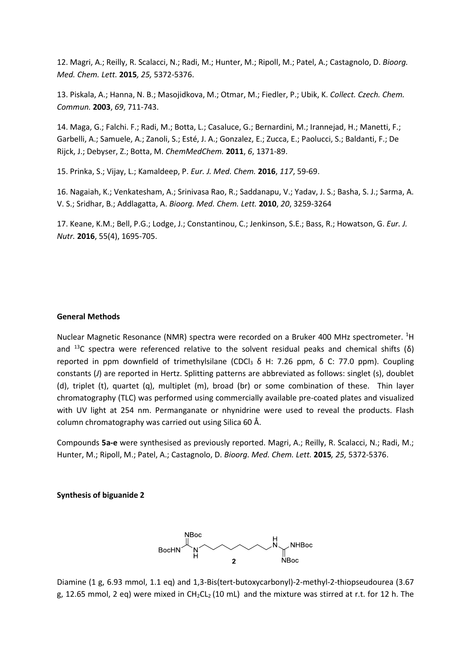12. Magri, A.; Reilly, R. Scalacci, N.; Radi, M.; Hunter, M.; Ripoll, M.; Patel, A.; Castagnolo, D. *Bioorg. Med. Chem. Lett.* **2015***, 25,* 5372-5376.

13. Piskala, A.; Hanna, N. B.; Masojidkova, M.; Otmar, M.; Fiedler, P.; Ubik, K. *Collect. Czech. Chem. Commun.* **2003**, *69*, 711-743.

14. Maga, G.; Falchi. F.; Radi, M.; Botta, L.; Casaluce, G.; Bernardini, M.; Irannejad, H.; Manetti, F.; Garbelli, A.; Samuele, A.; Zanoli, S.; Esté, J. A.; Gonzalez, E.; Zucca, E.; Paolucci, S.; Baldanti, F.; De Rijck, J.; Debyser, Z.; Botta, M. *ChemMedChem.* **2011**, *6*, 1371-89.

15. Prinka, S.; Vijay, L.; Kamaldeep, P. *Eur. J. Med. Chem.* **2016**, *117*, 59-69.

16. Nagaiah, K.; Venkatesham, A.; Srinivasa Rao, R.; Saddanapu, V.; Yadav, J. S.; Basha, S. J.; Sarma, A. V. S.; Sridhar, B.; Addlagatta, A. *Bioorg. Med. Chem. Lett.* **2010**, *20*, 3259-3264

17. Keane, K.M.; Bell, P.G.; Lodge, J.; Constantinou, C.; Jenkinson, S.E.; Bass, R.; Howatson, G. *Eur. J. Nutr.* **2016**, 55(4), 1695-705.

#### **General Methods**

Nuclear Magnetic Resonance (NMR) spectra were recorded on a Bruker 400 MHz spectrometer. <sup>1</sup>H and <sup>13</sup>C spectra were referenced relative to the solvent residual peaks and chemical shifts (δ) reported in ppm downfield of trimethylsilane (CDCl<sub>3</sub> δ H: 7.26 ppm, δ C: 77.0 ppm). Coupling constants (*J*) are reported in Hertz. Splitting patterns are abbreviated as follows: singlet (s), doublet (d), triplet (t), quartet (q), multiplet (m), broad (br) or some combination of these. Thin layer chromatography (TLC) was performed using commercially available pre-coated plates and visualized with UV light at 254 nm. Permanganate or nhynidrine were used to reveal the products. Flash column chromatography was carried out using Silica 60 Å.

Compounds **5a-e** were synthesised as previously reported. Magri, A.; Reilly, R. Scalacci, N.; Radi, M.; Hunter, M.; Ripoll, M.; Patel, A.; Castagnolo, D. *Bioorg. Med. Chem. Lett.* **2015***, 25,* 5372-5376.

#### **Synthesis of biguanide 2**



Diamine (1 g, 6.93 mmol, 1.1 eq) and 1,3-Bis(tert-butoxycarbonyl)-2-methyl-2-thiopseudourea (3.67 g, 12.65 mmol, 2 eq) were mixed in  $CH_2CL_2 (10 \text{ mL})$  and the mixture was stirred at r.t. for 12 h. The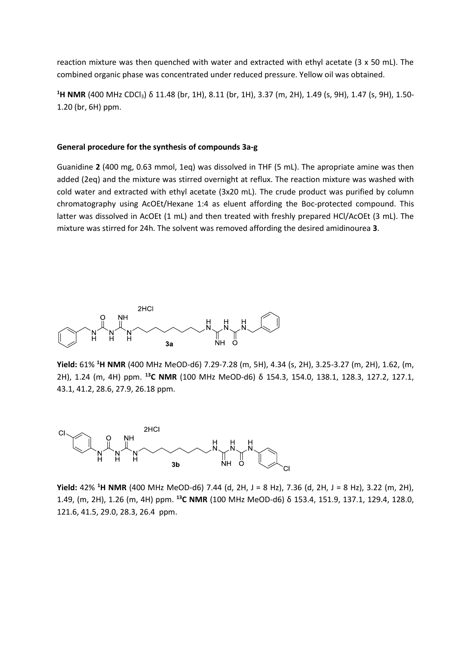reaction mixture was then quenched with water and extracted with ethyl acetate (3 x 50 mL). The combined organic phase was concentrated under reduced pressure. Yellow oil was obtained.

**<sup>1</sup>H NMR** (400 MHz CDCl3) δ 11.48 (br, 1H), 8.11 (br, 1H), 3.37 (m, 2H), 1.49 (s, 9H), 1.47 (s, 9H), 1.50- 1.20 (br, 6H) ppm.

#### **General procedure for the synthesis of compounds 3a-g**

Guanidine **2** (400 mg, 0.63 mmol, 1eq) was dissolved in THF (5 mL). The apropriate amine was then added (2eq) and the mixture was stirred overnight at reflux. The reaction mixture was washed with cold water and extracted with ethyl acetate (3x20 mL). The crude product was purified by column chromatography using AcOEt/Hexane 1:4 as eluent affording the Boc-protected compound. This latter was dissolved in AcOEt (1 mL) and then treated with freshly prepared HCl/AcOEt (3 mL). The mixture was stirred for 24h. The solvent was removed affording the desired amidinourea **3**.



**Yield:** 61% **<sup>1</sup>H NMR** (400 MHz MeOD-d6) 7.29-7.28 (m, 5H), 4.34 (s, 2H), 3.25-3.27 (m, 2H), 1.62, (m, 2H), 1.24 (m, 4H) ppm. **<sup>13</sup>C NMR** (100 MHz MeOD-d6) δ 154.3, 154.0, 138.1, 128.3, 127.2, 127.1, 43.1, 41.2, 28.6, 27.9, 26.18 ppm.



**Yield:** 42% **<sup>1</sup>H NMR** (400 MHz MeOD-d6) 7.44 (d, 2H, J = 8 Hz), 7.36 (d, 2H, J = 8 Hz), 3.22 (m, 2H), 1.49, (m, 2H), 1.26 (m, 4H) ppm. **<sup>13</sup>C NMR** (100 MHz MeOD-d6) δ 153.4, 151.9, 137.1, 129.4, 128.0, 121.6, 41.5, 29.0, 28.3, 26.4 ppm.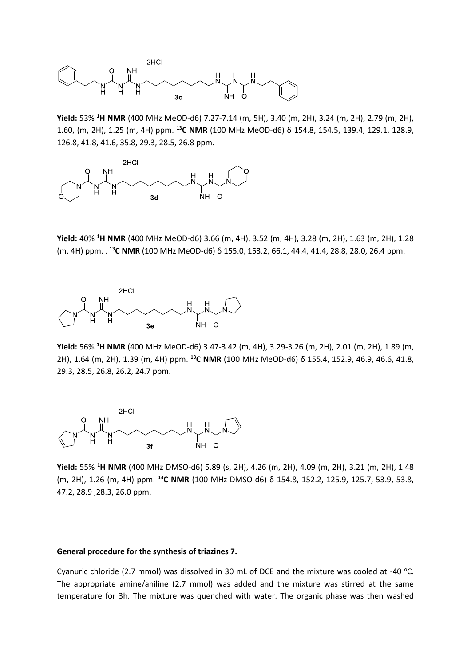

**Yield:** 53% **<sup>1</sup>H NMR** (400 MHz MeOD-d6) 7.27-7.14 (m, 5H), 3.40 (m, 2H), 3.24 (m, 2H), 2.79 (m, 2H), 1.60, (m, 2H), 1.25 (m, 4H) ppm. **<sup>13</sup>C NMR** (100 MHz MeOD-d6) δ 154.8, 154.5, 139.4, 129.1, 128.9, 126.8, 41.8, 41.6, 35.8, 29.3, 28.5, 26.8 ppm.



**Yield:** 40% **<sup>1</sup>H NMR** (400 MHz MeOD-d6) 3.66 (m, 4H), 3.52 (m, 4H), 3.28 (m, 2H), 1.63 (m, 2H), 1.28 (m, 4H) ppm. . **<sup>13</sup>C NMR** (100 MHz MeOD-d6) δ 155.0, 153.2, 66.1, 44.4, 41.4, 28.8, 28.0, 26.4 ppm.



**Yield:** 56% **<sup>1</sup>H NMR** (400 MHz MeOD-d6) 3.47-3.42 (m, 4H), 3.29-3.26 (m, 2H), 2.01 (m, 2H), 1.89 (m, 2H), 1.64 (m, 2H), 1.39 (m, 4H) ppm. **<sup>13</sup>C NMR** (100 MHz MeOD-d6) δ 155.4, 152.9, 46.9, 46.6, 41.8, 29.3, 28.5, 26.8, 26.2, 24.7 ppm.



**Yield:** 55% **<sup>1</sup>H NMR** (400 MHz DMSO-d6) 5.89 (s, 2H), 4.26 (m, 2H), 4.09 (m, 2H), 3.21 (m, 2H), 1.48 (m, 2H), 1.26 (m, 4H) ppm. **<sup>13</sup>C NMR** (100 MHz DMSO-d6) δ 154.8, 152.2, 125.9, 125.7, 53.9, 53.8, 47.2, 28.9 ,28.3, 26.0 ppm.

#### **General procedure for the synthesis of triazines 7.**

Cyanuric chloride (2.7 mmol) was dissolved in 30 mL of DCE and the mixture was cooled at -40 °C. The appropriate amine/aniline (2.7 mmol) was added and the mixture was stirred at the same temperature for 3h. The mixture was quenched with water. The organic phase was then washed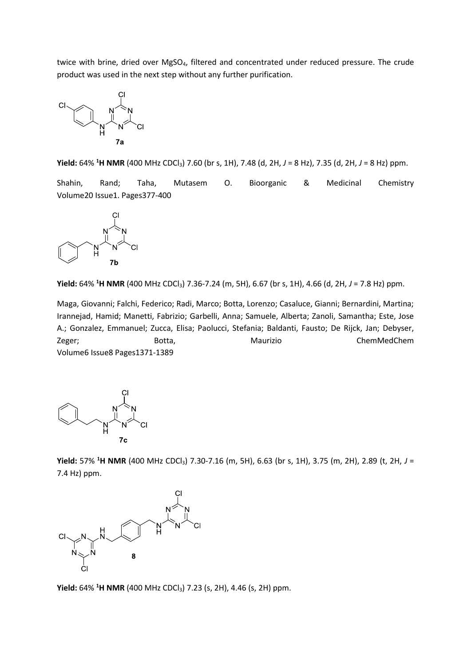twice with brine, dried over MgSO<sub>4</sub>, filtered and concentrated under reduced pressure. The crude product was used in the next step without any further purification.



**Yield:** 64% **<sup>1</sup>H NMR** (400 MHz CDCl3) 7.60 (br s, 1H), 7.48 (d, 2H, *J* = 8 Hz), 7.35 (d, 2H, *J* = 8 Hz) ppm.

Shahin, Rand; Taha, Mutasem O. Bioorganic & Medicinal Chemistry Volume20 Issue1. Pages377-400



**Yield:** 64% **<sup>1</sup>H NMR** (400 MHz CDCl3) 7.36-7.24 (m, 5H), 6.67 (br s, 1H), 4.66 (d, 2H, *J* = 7.8 Hz) ppm.

Maga, Giovanni; Falchi, Federico; Radi, Marco; Botta, Lorenzo; Casaluce, Gianni; Bernardini, Martina; Irannejad, Hamid; Manetti, Fabrizio; Garbelli, Anna; Samuele, Alberta; Zanoli, Samantha; Este, Jose A.; Gonzalez, Emmanuel; Zucca, Elisa; Paolucci, Stefania; Baldanti, Fausto; De Rijck, Jan; Debyser, Zeger; Botta, Maurizio ChemMedChem Volume6 Issue8 Pages1371-1389



**Yield:** 57% **<sup>1</sup>H NMR** (400 MHz CDCl3) 7.30-7.16 (m, 5H), 6.63 (br s, 1H), 3.75 (m, 2H), 2.89 (t, 2H, *J* = 7.4 Hz) ppm.



**Yield:** 64% <sup>1</sup>H NMR (400 MHz CDCl<sub>3</sub>) 7.23 (s, 2H), 4.46 (s, 2H) ppm.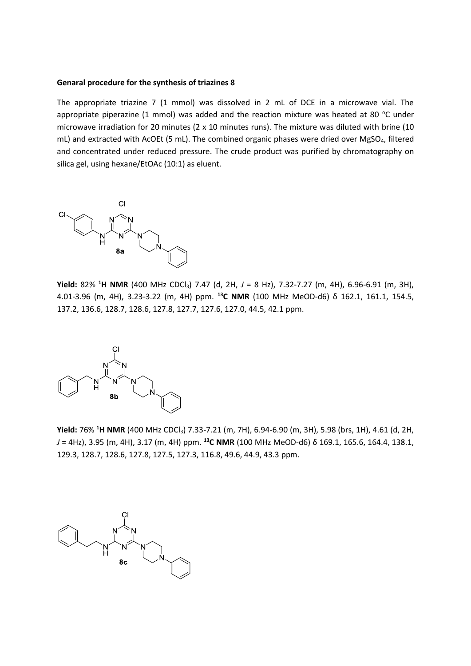#### **Genaral procedure for the synthesis of triazines 8**

The appropriate triazine 7 (1 mmol) was dissolved in 2 mL of DCE in a microwave vial. The appropriate piperazine (1 mmol) was added and the reaction mixture was heated at 80  $^{\circ}$ C under microwave irradiation for 20 minutes (2 x 10 minutes runs). The mixture was diluted with brine (10 mL) and extracted with AcOEt (5 mL). The combined organic phases were dried over MgSO<sub>4</sub>, filtered and concentrated under reduced pressure. The crude product was purified by chromatography on silica gel, using hexane/EtOAc (10:1) as eluent.



**Yield:** 82% **<sup>1</sup>H NMR** (400 MHz CDCl3) 7.47 (d, 2H, *J* = 8 Hz), 7.32-7.27 (m, 4H), 6.96-6.91 (m, 3H), 4.01-3.96 (m, 4H), 3.23-3.22 (m, 4H) ppm. **<sup>13</sup>C NMR** (100 MHz MeOD-d6) δ 162.1, 161.1, 154.5, 137.2, 136.6, 128.7, 128.6, 127.8, 127.7, 127.6, 127.0, 44.5, 42.1 ppm.



**Yield:** 76% **<sup>1</sup>H NMR** (400 MHz CDCl3) 7.33-7.21 (m, 7H), 6.94-6.90 (m, 3H), 5.98 (brs, 1H), 4.61 (d, 2H, *J* = 4Hz), 3.95 (m, 4H), 3.17 (m, 4H) ppm. **<sup>13</sup>C NMR** (100 MHz MeOD-d6) δ 169.1, 165.6, 164.4, 138.1, 129.3, 128.7, 128.6, 127.8, 127.5, 127.3, 116.8, 49.6, 44.9, 43.3 ppm.

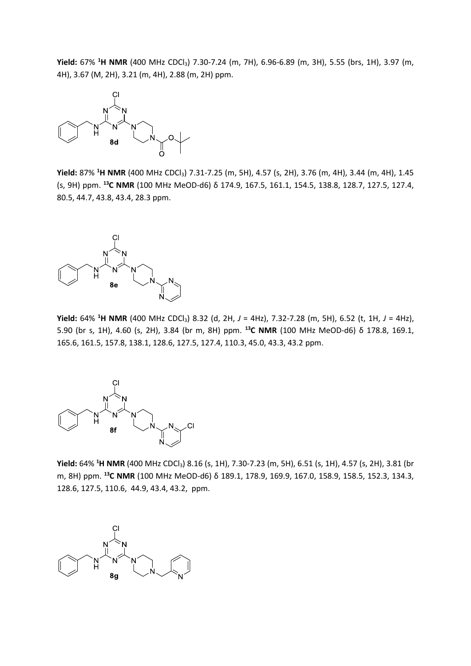**Yield:** 67% **<sup>1</sup>H NMR** (400 MHz CDCl3) 7.30-7.24 (m, 7H), 6.96-6.89 (m, 3H), 5.55 (brs, 1H), 3.97 (m, 4H), 3.67 (M, 2H), 3.21 (m, 4H), 2.88 (m, 2H) ppm.



**Yield:** 87% **<sup>1</sup>H NMR** (400 MHz CDCl3) 7.31-7.25 (m, 5H), 4.57 (s, 2H), 3.76 (m, 4H), 3.44 (m, 4H), 1.45 (s, 9H) ppm. **<sup>13</sup>C NMR** (100 MHz MeOD-d6) δ 174.9, 167.5, 161.1, 154.5, 138.8, 128.7, 127.5, 127.4, 80.5, 44.7, 43.8, 43.4, 28.3 ppm.



**Yield:** 64% **<sup>1</sup>H NMR** (400 MHz CDCl3) 8.32 (d, 2H, *J* = 4Hz), 7.32-7.28 (m, 5H), 6.52 (t, 1H, *J* = 4Hz), 5.90 (br s, 1H), 4.60 (s, 2H), 3.84 (br m, 8H) ppm. **<sup>13</sup>C NMR** (100 MHz MeOD-d6) δ 178.8, 169.1, 165.6, 161.5, 157.8, 138.1, 128.6, 127.5, 127.4, 110.3, 45.0, 43.3, 43.2 ppm.



**Yield:** 64% **<sup>1</sup>H NMR** (400 MHz CDCl3) 8.16 (s, 1H), 7.30-7.23 (m, 5H), 6.51 (s, 1H), 4.57 (s, 2H), 3.81 (br m, 8H) ppm. **<sup>13</sup>C NMR** (100 MHz MeOD-d6) δ 189.1, 178.9, 169.9, 167.0, 158.9, 158.5, 152.3, 134.3, 128.6, 127.5, 110.6, 44.9, 43.4, 43.2, ppm.